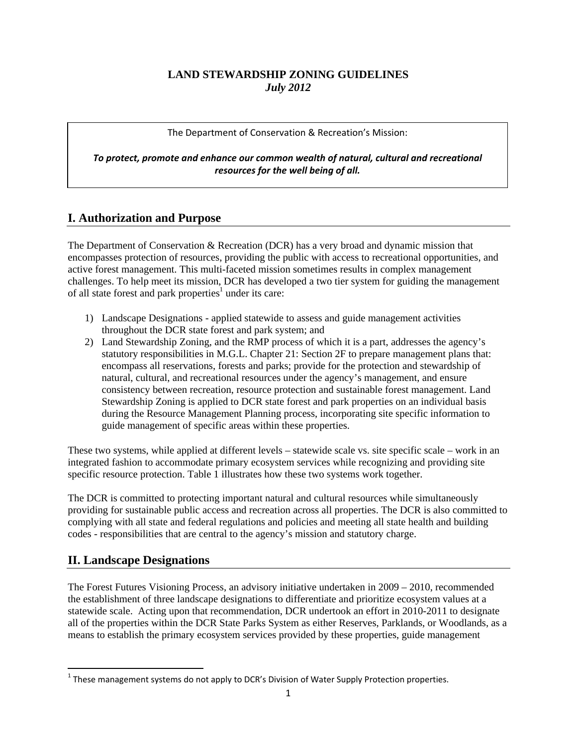# **LAND STEWARDSHIP ZONING GUIDELINES**  *July 2012*

The Department of Conservation & Recreation's Mission:

*To protect, promote and enhance our common wealth of natural, cultural and recreational resources for the well being of all.*

# **I. Authorization and Purpose**

The Department of Conservation & Recreation (DCR) has a very broad and dynamic mission that encompasses protection of resources, providing the public with access to recreational opportunities, and active forest management. This multi-faceted mission sometimes results in complex management challenges. To help meet its mission, DCR has developed a two tier system for guiding the management of all state forest and park properties<sup>1</sup> under its care:

- 1) Landscape Designations applied statewide to assess and guide management activities throughout the DCR state forest and park system; and
- 2) Land Stewardship Zoning, and the RMP process of which it is a part, addresses the agency's statutory responsibilities in M.G.L. Chapter 21: Section 2F to prepare management plans that: encompass all reservations, forests and parks; provide for the protection and stewardship of natural, cultural, and recreational resources under the agency's management, and ensure consistency between recreation, resource protection and sustainable forest management. Land Stewardship Zoning is applied to DCR state forest and park properties on an individual basis during the Resource Management Planning process, incorporating site specific information to guide management of specific areas within these properties.

These two systems, while applied at different levels – statewide scale vs. site specific scale – work in an integrated fashion to accommodate primary ecosystem services while recognizing and providing site specific resource protection. Table 1 illustrates how these two systems work together.

The DCR is committed to protecting important natural and cultural resources while simultaneously providing for sustainable public access and recreation across all properties. The DCR is also committed to complying with all state and federal regulations and policies and meeting all state health and building codes - responsibilities that are central to the agency's mission and statutory charge.

# **II. Landscape Designations**

The Forest Futures Visioning Process, an advisory initiative undertaken in 2009 – 2010, recommended the establishment of three landscape designations to differentiate and prioritize ecosystem values at a statewide scale. Acting upon that recommendation, DCR undertook an effort in 2010-2011 to designate all of the properties within the DCR State Parks System as either Reserves, Parklands, or Woodlands, as a means to establish the primary ecosystem services provided by these properties, guide management

 $^1$  These management systems do not apply to DCR's Division of Water Supply Protection properties.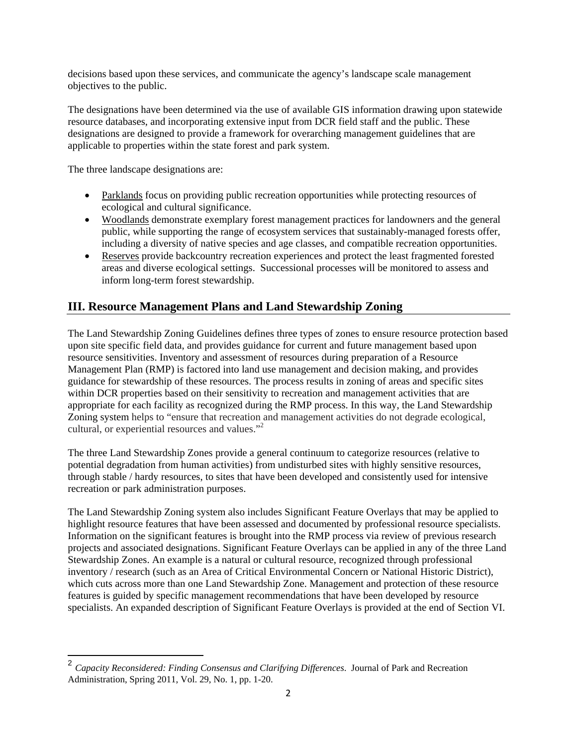decisions based upon these services, and communicate the agency's landscape scale management objectives to the public.

The designations have been determined via the use of available GIS information drawing upon statewide resource databases, and incorporating extensive input from DCR field staff and the public. These designations are designed to provide a framework for overarching management guidelines that are applicable to properties within the state forest and park system.

The three landscape designations are:

- Parklands focus on providing public recreation opportunities while protecting resources of ecological and cultural significance.
- Woodlands demonstrate exemplary forest management practices for landowners and the general public, while supporting the range of ecosystem services that sustainably-managed forests offer, including a diversity of native species and age classes, and compatible recreation opportunities.
- Reserves provide backcountry recreation experiences and protect the least fragmented forested areas and diverse ecological settings. Successional processes will be monitored to assess and inform long-term forest stewardship.

# **III. Resource Management Plans and Land Stewardship Zoning**

The Land Stewardship Zoning Guidelines defines three types of zones to ensure resource protection based upon site specific field data, and provides guidance for current and future management based upon resource sensitivities. Inventory and assessment of resources during preparation of a Resource Management Plan (RMP) is factored into land use management and decision making, and provides guidance for stewardship of these resources. The process results in zoning of areas and specific sites within DCR properties based on their sensitivity to recreation and management activities that are appropriate for each facility as recognized during the RMP process. In this way, the Land Stewardship Zoning system helps to "ensure that recreation and management activities do not degrade ecological, cultural, or experiential resources and values."2

The three Land Stewardship Zones provide a general continuum to categorize resources (relative to potential degradation from human activities) from undisturbed sites with highly sensitive resources, through stable / hardy resources, to sites that have been developed and consistently used for intensive recreation or park administration purposes.

The Land Stewardship Zoning system also includes Significant Feature Overlays that may be applied to highlight resource features that have been assessed and documented by professional resource specialists. Information on the significant features is brought into the RMP process via review of previous research projects and associated designations. Significant Feature Overlays can be applied in any of the three Land Stewardship Zones. An example is a natural or cultural resource, recognized through professional inventory / research (such as an Area of Critical Environmental Concern or National Historic District), which cuts across more than one Land Stewardship Zone. Management and protection of these resource features is guided by specific management recommendations that have been developed by resource specialists. An expanded description of Significant Feature Overlays is provided at the end of Section VI.

<sup>2</sup> *Capacity Reconsidered: Finding Consensus and Clarifying Differences*. Journal of Park and Recreation Administration, Spring 2011, Vol. 29, No. 1, pp. 1-20.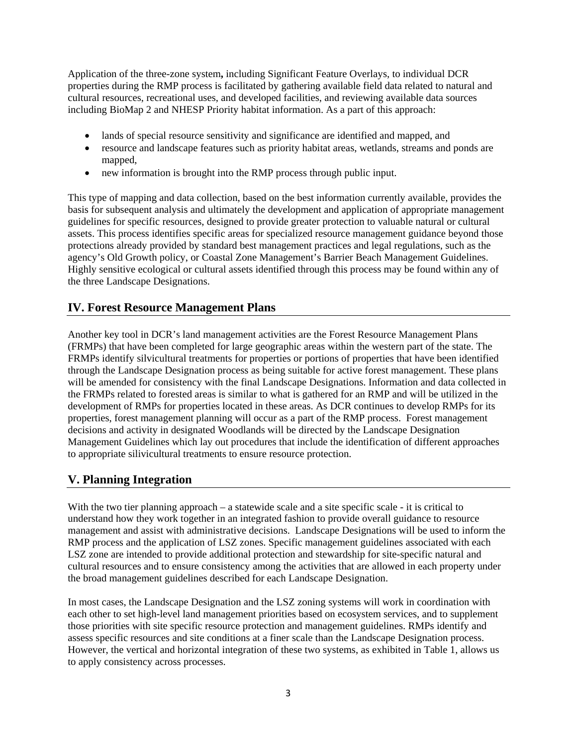Application of the three-zone system**,** including Significant Feature Overlays, to individual DCR properties during the RMP process is facilitated by gathering available field data related to natural and cultural resources, recreational uses, and developed facilities, and reviewing available data sources including BioMap 2 and NHESP Priority habitat information. As a part of this approach:

- lands of special resource sensitivity and significance are identified and mapped, and
- resource and landscape features such as priority habitat areas, wetlands, streams and ponds are mapped,
- new information is brought into the RMP process through public input.

This type of mapping and data collection, based on the best information currently available, provides the basis for subsequent analysis and ultimately the development and application of appropriate management guidelines for specific resources, designed to provide greater protection to valuable natural or cultural assets. This process identifies specific areas for specialized resource management guidance beyond those protections already provided by standard best management practices and legal regulations, such as the agency's Old Growth policy, or Coastal Zone Management's Barrier Beach Management Guidelines. Highly sensitive ecological or cultural assets identified through this process may be found within any of the three Landscape Designations.

# **IV. Forest Resource Management Plans**

Another key tool in DCR's land management activities are the Forest Resource Management Plans (FRMPs) that have been completed for large geographic areas within the western part of the state. The FRMPs identify silvicultural treatments for properties or portions of properties that have been identified through the Landscape Designation process as being suitable for active forest management. These plans will be amended for consistency with the final Landscape Designations. Information and data collected in the FRMPs related to forested areas is similar to what is gathered for an RMP and will be utilized in the development of RMPs for properties located in these areas. As DCR continues to develop RMPs for its properties, forest management planning will occur as a part of the RMP process. Forest management decisions and activity in designated Woodlands will be directed by the Landscape Designation Management Guidelines which lay out procedures that include the identification of different approaches to appropriate silivicultural treatments to ensure resource protection.

# **V. Planning Integration**

With the two tier planning approach – a statewide scale and a site specific scale - it is critical to understand how they work together in an integrated fashion to provide overall guidance to resource management and assist with administrative decisions. Landscape Designations will be used to inform the RMP process and the application of LSZ zones. Specific management guidelines associated with each LSZ zone are intended to provide additional protection and stewardship for site-specific natural and cultural resources and to ensure consistency among the activities that are allowed in each property under the broad management guidelines described for each Landscape Designation.

In most cases, the Landscape Designation and the LSZ zoning systems will work in coordination with each other to set high-level land management priorities based on ecosystem services, and to supplement those priorities with site specific resource protection and management guidelines. RMPs identify and assess specific resources and site conditions at a finer scale than the Landscape Designation process. However, the vertical and horizontal integration of these two systems, as exhibited in Table 1, allows us to apply consistency across processes.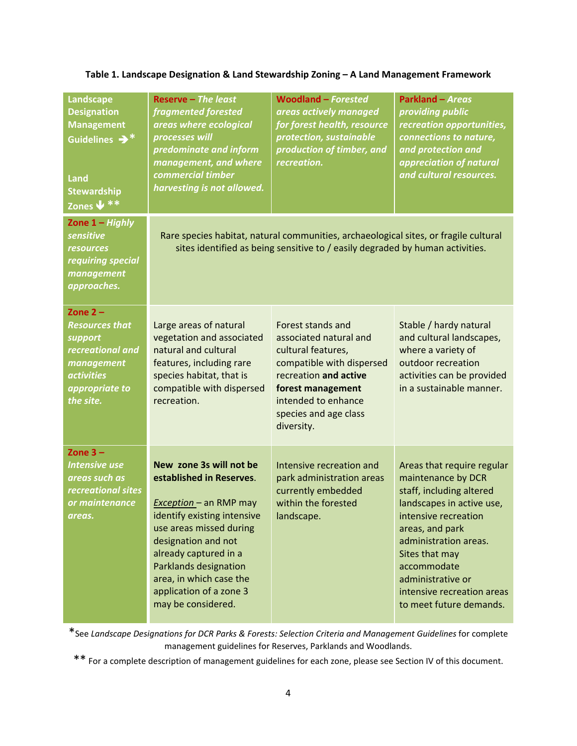| <b>Landscape</b><br><b>Designation</b><br><b>Management</b><br>Guidelines $\rightarrow^*$<br>Land<br><b>Stewardship</b><br>Zones V ** | <b>Reserve - The least</b><br>fragmented forested<br>areas where ecological<br>processes will<br>predominate and inform<br>management, and where<br>commercial timber<br>harvesting is not allowed.                                                                                            | <b>Woodland - Forested</b><br>areas actively managed<br>for forest health, resource<br>protection, sustainable<br>production of timber, and<br>recreation.                                                 | <b>Parkland - Areas</b><br>providing public<br>recreation opportunities,<br>connections to nature,<br>and protection and<br>appreciation of natural<br>and cultural resources.                                                                                                               |
|---------------------------------------------------------------------------------------------------------------------------------------|------------------------------------------------------------------------------------------------------------------------------------------------------------------------------------------------------------------------------------------------------------------------------------------------|------------------------------------------------------------------------------------------------------------------------------------------------------------------------------------------------------------|----------------------------------------------------------------------------------------------------------------------------------------------------------------------------------------------------------------------------------------------------------------------------------------------|
| Zone 1 - Highly<br>sensitive<br><b>resources</b><br>requiring special<br>management<br>approaches.                                    | Rare species habitat, natural communities, archaeological sites, or fragile cultural<br>sites identified as being sensitive to / easily degraded by human activities.                                                                                                                          |                                                                                                                                                                                                            |                                                                                                                                                                                                                                                                                              |
| Zone $2 -$<br><b>Resources that</b><br>support<br>recreational and<br>management<br><i>activities</i><br>appropriate to<br>the site.  | Large areas of natural<br>vegetation and associated<br>natural and cultural<br>features, including rare<br>species habitat, that is<br>compatible with dispersed<br>recreation.                                                                                                                | Forest stands and<br>associated natural and<br>cultural features,<br>compatible with dispersed<br>recreation and active<br>forest management<br>intended to enhance<br>species and age class<br>diversity. | Stable / hardy natural<br>and cultural landscapes,<br>where a variety of<br>outdoor recreation<br>activities can be provided<br>in a sustainable manner.                                                                                                                                     |
| Zone $3 -$<br><b>Intensive use</b><br>areas such as<br>recreational sites<br>or maintenance<br>areas.                                 | New zone 3s will not be<br>established in Reserves.<br>$Exception - an RMP may$<br>identify existing intensive<br>use areas missed during<br>designation and not<br>already captured in a<br>Parklands designation<br>area, in which case the<br>application of a zone 3<br>may be considered. | Intensive recreation and<br>park administration areas<br>currently embedded<br>within the forested<br>landscape.                                                                                           | Areas that require regular<br>maintenance by DCR<br>staff, including altered<br>landscapes in active use,<br>intensive recreation<br>areas, and park<br>administration areas.<br>Sites that may<br>accommodate<br>administrative or<br>intensive recreation areas<br>to meet future demands. |

# **Table 1. Landscape Designation & Land Stewardship Zoning – A Land Management Framework**

\*See *Landscape Designations for DCR Parks & Forests: Selection Criteria and Management Guidelines* for complete management guidelines for Reserves, Parklands and Woodlands.

\*\* For a complete description of management guidelines for each zone, please see Section IV of this document.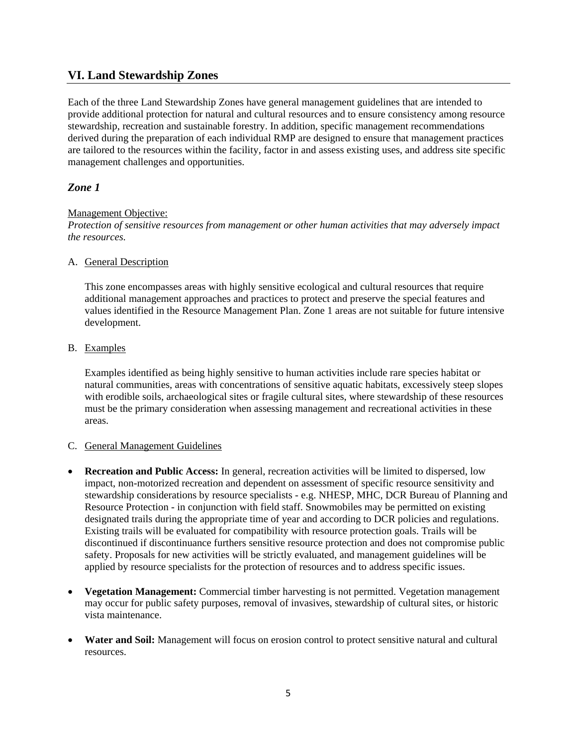# **VI. Land Stewardship Zones**

Each of the three Land Stewardship Zones have general management guidelines that are intended to provide additional protection for natural and cultural resources and to ensure consistency among resource stewardship, recreation and sustainable forestry. In addition, specific management recommendations derived during the preparation of each individual RMP are designed to ensure that management practices are tailored to the resources within the facility, factor in and assess existing uses, and address site specific management challenges and opportunities.

### *Zone 1*

### Management Objective:

*Protection of sensitive resources from management or other human activities that may adversely impact the resources.* 

### A. General Description

This zone encompasses areas with highly sensitive ecological and cultural resources that require additional management approaches and practices to protect and preserve the special features and values identified in the Resource Management Plan. Zone 1 areas are not suitable for future intensive development.

### B. Examples

Examples identified as being highly sensitive to human activities include rare species habitat or natural communities, areas with concentrations of sensitive aquatic habitats, excessively steep slopes with erodible soils, archaeological sites or fragile cultural sites, where stewardship of these resources must be the primary consideration when assessing management and recreational activities in these areas.

### C. General Management Guidelines

- **Recreation and Public Access:** In general, recreation activities will be limited to dispersed, low impact, non-motorized recreation and dependent on assessment of specific resource sensitivity and stewardship considerations by resource specialists - e.g. NHESP, MHC, DCR Bureau of Planning and Resource Protection - in conjunction with field staff. Snowmobiles may be permitted on existing designated trails during the appropriate time of year and according to DCR policies and regulations. Existing trails will be evaluated for compatibility with resource protection goals. Trails will be discontinued if discontinuance furthers sensitive resource protection and does not compromise public safety. Proposals for new activities will be strictly evaluated, and management guidelines will be applied by resource specialists for the protection of resources and to address specific issues.
- **Vegetation Management:** Commercial timber harvesting is not permitted. Vegetation management may occur for public safety purposes, removal of invasives, stewardship of cultural sites, or historic vista maintenance.
- **Water and Soil:** Management will focus on erosion control to protect sensitive natural and cultural resources.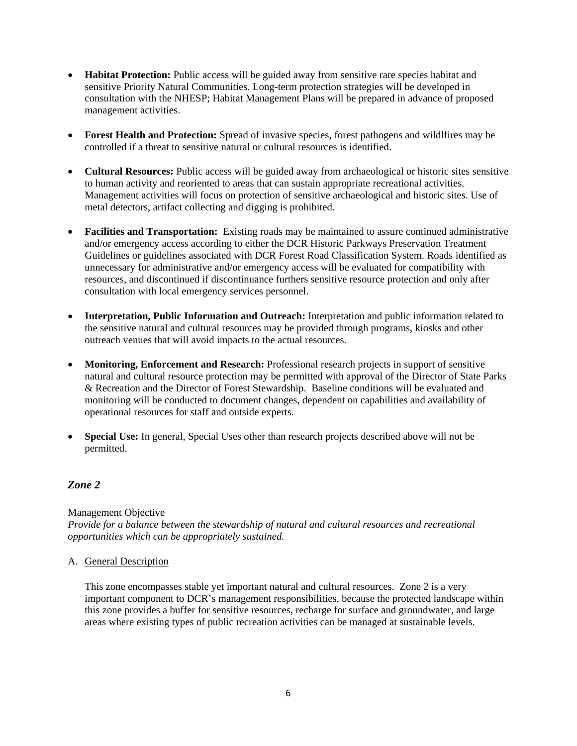- **Habitat Protection:** Public access will be guided away from sensitive rare species habitat and sensitive Priority Natural Communities. Long-term protection strategies will be developed in consultation with the NHESP; Habitat Management Plans will be prepared in advance of proposed management activities.
- **Forest Health and Protection:** Spread of invasive species, forest pathogens and wildlfires may be controlled if a threat to sensitive natural or cultural resources is identified.
- **Cultural Resources:** Public access will be guided away from archaeological or historic sites sensitive to human activity and reoriented to areas that can sustain appropriate recreational activities. Management activities will focus on protection of sensitive archaeological and historic sites. Use of metal detectors, artifact collecting and digging is prohibited.
- **Facilities and Transportation:** Existing roads may be maintained to assure continued administrative and/or emergency access according to either the DCR Historic Parkways Preservation Treatment Guidelines or guidelines associated with DCR Forest Road Classification System. Roads identified as unnecessary for administrative and/or emergency access will be evaluated for compatibility with resources, and discontinued if discontinuance furthers sensitive resource protection and only after consultation with local emergency services personnel.
- **Interpretation, Public Information and Outreach:** Interpretation and public information related to the sensitive natural and cultural resources may be provided through programs, kiosks and other outreach venues that will avoid impacts to the actual resources.
- **Monitoring, Enforcement and Research:** Professional research projects in support of sensitive natural and cultural resource protection may be permitted with approval of the Director of State Parks & Recreation and the Director of Forest Stewardship. Baseline conditions will be evaluated and monitoring will be conducted to document changes, dependent on capabilities and availability of operational resources for staff and outside experts.
- **Special Use:** In general, Special Uses other than research projects described above will not be permitted.

### *Zone 2*

### Management Objective

*Provide for a balance between the stewardship of natural and cultural resources and recreational opportunities which can be appropriately sustained.* 

A. General Description

This zone encompasses stable yet important natural and cultural resources. Zone 2 is a very important component to DCR's management responsibilities, because the protected landscape within this zone provides a buffer for sensitive resources, recharge for surface and groundwater, and large areas where existing types of public recreation activities can be managed at sustainable levels.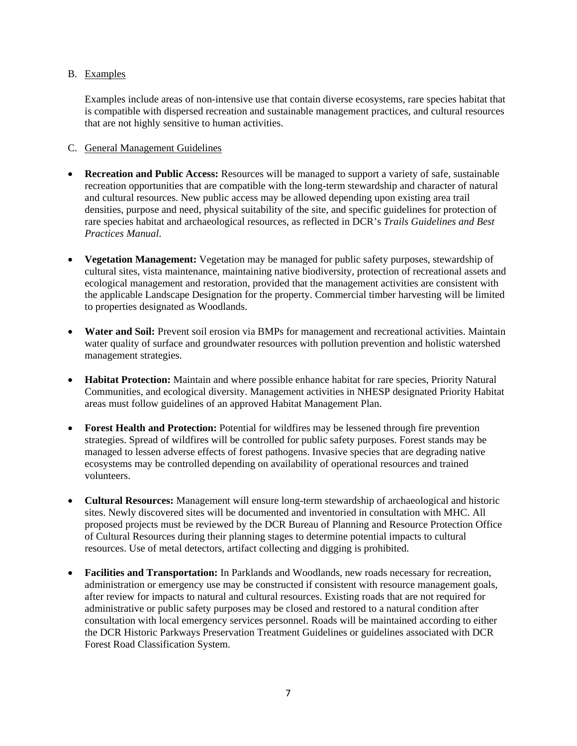### B. Examples

Examples include areas of non-intensive use that contain diverse ecosystems, rare species habitat that is compatible with dispersed recreation and sustainable management practices, and cultural resources that are not highly sensitive to human activities.

#### C. General Management Guidelines

- **Recreation and Public Access:** Resources will be managed to support a variety of safe, sustainable recreation opportunities that are compatible with the long-term stewardship and character of natural and cultural resources. New public access may be allowed depending upon existing area trail densities, purpose and need, physical suitability of the site, and specific guidelines for protection of rare species habitat and archaeological resources, as reflected in DCR's *Trails Guidelines and Best Practices Manual*.
- **Vegetation Management:** Vegetation may be managed for public safety purposes, stewardship of cultural sites, vista maintenance, maintaining native biodiversity, protection of recreational assets and ecological management and restoration, provided that the management activities are consistent with the applicable Landscape Designation for the property. Commercial timber harvesting will be limited to properties designated as Woodlands.
- Water and Soil: Prevent soil erosion via BMPs for management and recreational activities. Maintain water quality of surface and groundwater resources with pollution prevention and holistic watershed management strategies.
- **Habitat Protection:** Maintain and where possible enhance habitat for rare species, Priority Natural Communities, and ecological diversity. Management activities in NHESP designated Priority Habitat areas must follow guidelines of an approved Habitat Management Plan.
- **Forest Health and Protection:** Potential for wildfires may be lessened through fire prevention strategies. Spread of wildfires will be controlled for public safety purposes. Forest stands may be managed to lessen adverse effects of forest pathogens. Invasive species that are degrading native ecosystems may be controlled depending on availability of operational resources and trained volunteers.
- **Cultural Resources:** Management will ensure long-term stewardship of archaeological and historic sites. Newly discovered sites will be documented and inventoried in consultation with MHC. All proposed projects must be reviewed by the DCR Bureau of Planning and Resource Protection Office of Cultural Resources during their planning stages to determine potential impacts to cultural resources. Use of metal detectors, artifact collecting and digging is prohibited.
- **Facilities and Transportation:** In Parklands and Woodlands, new roads necessary for recreation, administration or emergency use may be constructed if consistent with resource management goals, after review for impacts to natural and cultural resources. Existing roads that are not required for administrative or public safety purposes may be closed and restored to a natural condition after consultation with local emergency services personnel. Roads will be maintained according to either the DCR Historic Parkways Preservation Treatment Guidelines or guidelines associated with DCR Forest Road Classification System.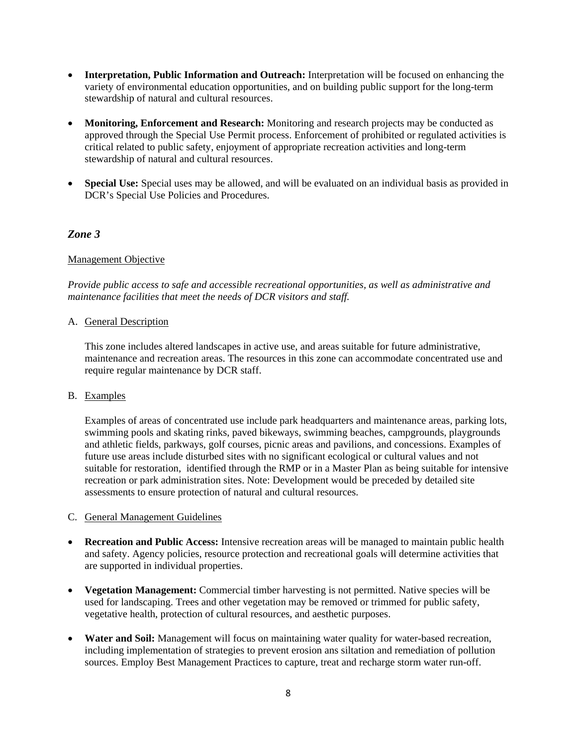- **Interpretation, Public Information and Outreach:** Interpretation will be focused on enhancing the variety of environmental education opportunities, and on building public support for the long-term stewardship of natural and cultural resources.
- **Monitoring, Enforcement and Research:** Monitoring and research projects may be conducted as approved through the Special Use Permit process. Enforcement of prohibited or regulated activities is critical related to public safety, enjoyment of appropriate recreation activities and long-term stewardship of natural and cultural resources.
- **Special Use:** Special uses may be allowed, and will be evaluated on an individual basis as provided in DCR's Special Use Policies and Procedures.

### *Zone 3*

### Management Objective

*Provide public access to safe and accessible recreational opportunities, as well as administrative and maintenance facilities that meet the needs of DCR visitors and staff.* 

### A. General Description

This zone includes altered landscapes in active use, and areas suitable for future administrative, maintenance and recreation areas. The resources in this zone can accommodate concentrated use and require regular maintenance by DCR staff.

### B. Examples

Examples of areas of concentrated use include park headquarters and maintenance areas, parking lots, swimming pools and skating rinks, paved bikeways, swimming beaches, campgrounds, playgrounds and athletic fields, parkways, golf courses, picnic areas and pavilions, and concessions. Examples of future use areas include disturbed sites with no significant ecological or cultural values and not suitable for restoration, identified through the RMP or in a Master Plan as being suitable for intensive recreation or park administration sites. Note: Development would be preceded by detailed site assessments to ensure protection of natural and cultural resources.

#### C. General Management Guidelines

- **Recreation and Public Access:** Intensive recreation areas will be managed to maintain public health and safety. Agency policies, resource protection and recreational goals will determine activities that are supported in individual properties.
- **Vegetation Management:** Commercial timber harvesting is not permitted. Native species will be used for landscaping. Trees and other vegetation may be removed or trimmed for public safety, vegetative health, protection of cultural resources, and aesthetic purposes.
- **Water and Soil:** Management will focus on maintaining water quality for water-based recreation, including implementation of strategies to prevent erosion ans siltation and remediation of pollution sources. Employ Best Management Practices to capture, treat and recharge storm water run-off.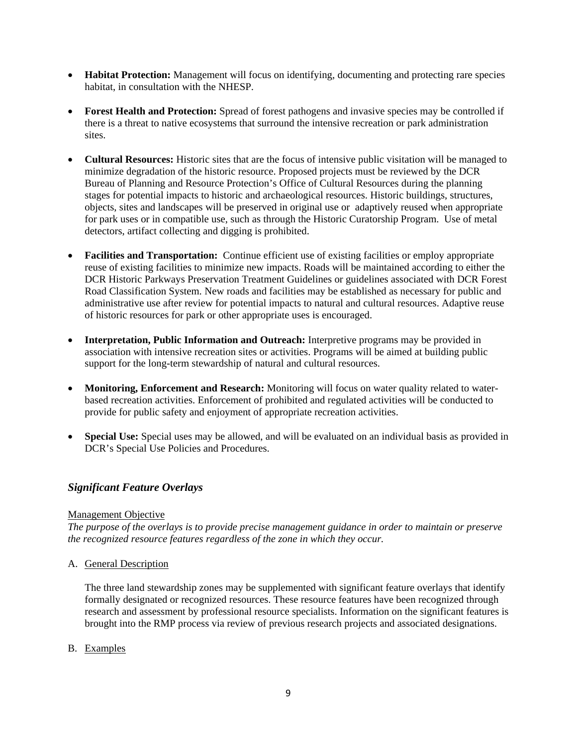- **Habitat Protection:** Management will focus on identifying, documenting and protecting rare species habitat, in consultation with the NHESP.
- Forest Health and Protection: Spread of forest pathogens and invasive species may be controlled if there is a threat to native ecosystems that surround the intensive recreation or park administration sites.
- **Cultural Resources:** Historic sites that are the focus of intensive public visitation will be managed to minimize degradation of the historic resource. Proposed projects must be reviewed by the DCR Bureau of Planning and Resource Protection's Office of Cultural Resources during the planning stages for potential impacts to historic and archaeological resources. Historic buildings, structures, objects, sites and landscapes will be preserved in original use or adaptively reused when appropriate for park uses or in compatible use, such as through the Historic Curatorship Program. Use of metal detectors, artifact collecting and digging is prohibited.
- **Facilities and Transportation:** Continue efficient use of existing facilities or employ appropriate reuse of existing facilities to minimize new impacts. Roads will be maintained according to either the DCR Historic Parkways Preservation Treatment Guidelines or guidelines associated with DCR Forest Road Classification System. New roads and facilities may be established as necessary for public and administrative use after review for potential impacts to natural and cultural resources. Adaptive reuse of historic resources for park or other appropriate uses is encouraged.
- **Interpretation, Public Information and Outreach:** Interpretive programs may be provided in association with intensive recreation sites or activities. Programs will be aimed at building public support for the long-term stewardship of natural and cultural resources.
- **Monitoring, Enforcement and Research:** Monitoring will focus on water quality related to waterbased recreation activities. Enforcement of prohibited and regulated activities will be conducted to provide for public safety and enjoyment of appropriate recreation activities.
- **Special Use:** Special uses may be allowed, and will be evaluated on an individual basis as provided in DCR's Special Use Policies and Procedures.

### *Significant Feature Overlays*

### Management Objective

*The purpose of the overlays is to provide precise management guidance in order to maintain or preserve the recognized resource features regardless of the zone in which they occur.* 

A. General Description

The three land stewardship zones may be supplemented with significant feature overlays that identify formally designated or recognized resources. These resource features have been recognized through research and assessment by professional resource specialists. Information on the significant features is brought into the RMP process via review of previous research projects and associated designations.

B. Examples